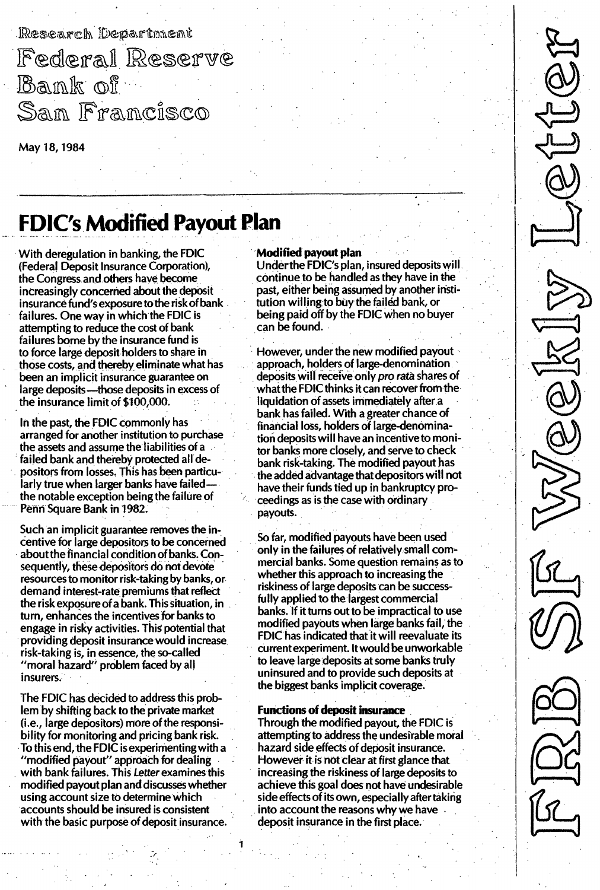Research Department

Federal Reserve Bank of San Francisco

May 18, 1984

# FDIC's Modified Payout Plan

With deregulation in banking, the FDIC (Federal Deposit Insurance Corporation), the Congress and others have become increasingly concerned about the deposit insurance fund's exposure to the risk of bank failures. One way in which the FDIC is attempting to reduce the cost of bank failures borne by the insurance fund is to force large deposit holders to share in those costs, and thereby eliminate what has been an implicit insurance guarantee on large deposits-those deposits in excess of the insurance limit of \$100,000.

In the past, the FDIC commonly has arranged for another institution to purchase the assets and assume the liabilities of a failed bank and thereby protected all depositors from losses. This has been particularly true when larger banks have failedthe notable exception being the failure of Penn Square Bank in 1982.

Such an implicit guarantee removes the incentive for large depositors to be concerned about the financial condition of banks. Consequently, these depositors do not devote resources to monitor risk-taking by banks, or demand interest-rate premiums that reflect the risk exposure of a bank. This situation, in turn, enhances the incentives for banks to engage in risky activities. This potential that providing deposit insurance would increase risk-taking is, in essence, the so-called "moral hazard" problem faced by all insurers.

The FDIC has decided to address this problem by shifting back to the private market (i.e., large depositors) more of the responsibility for monitoring and pricing bank risk. To this end, the FDIC is experimenting with a "modified payout" approach for dealing with bank failures. This Letter examines this modified payout plan and discusses whether using account size to determine which accounts should be insured is consistent with the basic purpose of deposit insurance.

#### Modified payout plan

Under the FDIC's plan, insured deposits will continue to be handled as they have in the past, either being assumed by another institution willing to buy the failed bank, or being paid off by the FDIC when no buyer can be found.

However, under the new modified payout approach, holders of large-denomination deposits will receive only pro rata shares of what the FDIC thinks it can recover from the liquidation of assets immediately after a bank has failed. With a greater chance of financial loss, holders of large-denomination deposits will have an incentive to monitor banks more closely, and serve to check bank risk-taking. The modified payout has the added advantage that depositors will not have their funds tied up in bankruptcy proceedings as is the case with ordinary payouts.

So far, modified payouts have been used only in the failures of relatively small commercial banks. Some question remains as to whether this approach to increasing the riskiness of large deposits can be successfully applied to the largest commercial banks. If it turns out to be impractical to use modified payouts when large banks fail, the FDIC has indicated that it will reevaluate its current experiment. It would be unworkable to leave large deposits at some banks truly uninsured and to provide such deposits at the biggest banks implicit coverage.

#### Functions of deposit insurance

Through the modified payout, the FDIC is attempting to address the undesirable moral hazard side effects of deposit insurance. However it is not clear at first glance that increasing the riskiness of large deposits to achieve this goal does not have undesirable side effects of its own, especially after taking into account the reasons why we have deposit insurance in the first place.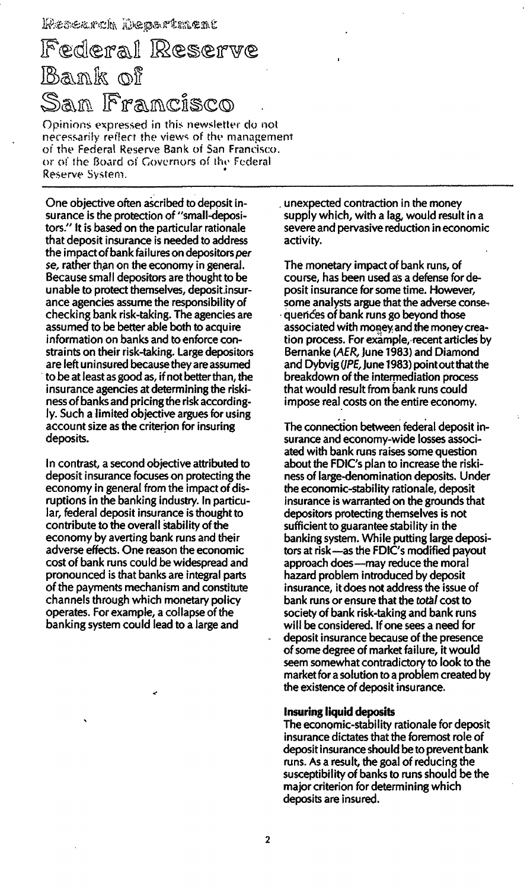# Federal Reserve lank of <u>San Francisco</u>

Opinions expressed in this newsletter do not necessarily reflect the views of the management of the Federal Reserve Bank of San Francisco. or of the Board of Governors of the Federal Reserve System.

One objective often ascribed to deposit insurance is the protection of "small-depositors." It is based on the particular rationale that deposit insurance is needed to address the impact of bank failures on depositors per se, rather than on the economy in general. Because small depositors are thought to be unable to protect themselves, deposit insurance agencies assume the responsibility of checking bank risk-taking. The agencies are assumed to be better able both to acquire information on banks and to enforce constraints on their risk-taking. Large depositors are left uninsured because they are assumed to be at least as good as, if not better than, the insurance agencies at determining the riskiness of banks and pricing the risk accordingly. Such a limited objective argues for using account size as the criterion for insuring deposits.

In contrast, a second objective attributed to deposit insurance focuses on protecting the economy in general from the impact of disruptions in the banking industry. In particular, federal deposit insurance is thought to contribute to the overall stability of the economy by averting bank runs and their adverse effects. One reason the economic cost of bank runs could be widespread and pronounced is that banks are integral parts of the payments mechanism and constitute channels through which monetary policy operates. For example, a collapse of the banking system could lead to a large and

unexpected contraction in the money supply which, with a lag, would result in a severe and pervasive reduction in economic activity.

The monetary impact of bank runs, of course, has been used as a defense for deposit insurance for some time. However, some analysts argue that the adverse conseguences of bank runs go beyond those associated with money and the money creation process. For example, recent articles by Bernanke (AER, June 1983) and Diamond and Dybvig (JPE, June 1983) point out that the breakdown of the intermediation process that would result from bank runs could impose real costs on the entire economy.

The connection between federal deposit insurance and economy-wide losses associated with bank runs raises some question about the FDIC's plan to increase the riskiness of large-denomination deposits. Under the economic-stability rationale, deposit insurance is warranted on the grounds that depositors protecting themselves is not sufficient to guarantee stability in the banking system. While putting large depositors at risk-as the FDIC's modified payout approach does-may reduce the moral hazard problem introduced by deposit insurance, it does not address the issue of bank runs or ensure that the total cost to society of bank risk-taking and bank runs will be considered. If one sees a need for deposit insurance because of the presence of some degree of market failure, it would seem somewhat contradictory to look to the market for a solution to a problem created by the existence of deposit insurance.

### **Insuring liquid deposits**

The economic-stability rationale for deposit insurance dictates that the foremost role of deposit insurance should be to prevent bank runs. As a result, the goal of reducing the susceptibility of banks to runs should be the major criterion for determining which deposits are insured.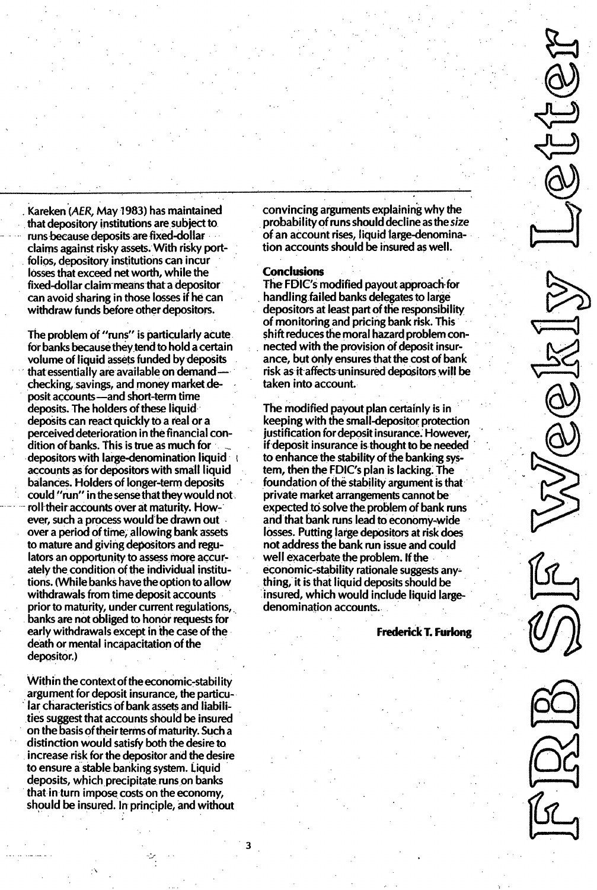Kareken (AER, May 1983) has maintained that depository institutions are subject to runs because deposits are fixed-dollar claims against risky assets. With risky portfolios, depository institutions can incur losses that exceed net worth, while the fixed-dollar claim means that a depositor can avoid sharing in those losses if he can withdraw funds before other depositors.

The problem of "runs" is particularly acute for banks because they tend to hold a certain volume of liquid assets funded by deposits that essentially are available on demandchecking, savings, and money market deposit accounts-and short-term time deposits. The holders of these liquid deposits can react quickly to a real or a perceived deterioration in the financial condition of banks. This is true as much for depositors with large-denomination liquid accounts as for depositors with small liquid balances. Holders of longer-term deposits could "run" in the sense that they would not roll their accounts over at maturity. However, such a process would be drawn out over a period of time, allowing bank assets to mature and giving depositors and regulators an opportunity to assess more accurately the condition of the individual institutions. (While banks have the option to allow withdrawals from time deposit accounts prior to maturity, under current regulations, banks are not obliged to honor requests for early withdrawals except in the case of the death or mental incapacitation of the depositor.)

Within the context of the economic-stability argument for deposit insurance, the particular characteristics of bank assets and liabilities suggest that accounts should be insured on the basis of their terms of maturity. Such a distinction would satisfy both the desire to increase risk for the depositor and the desire to ensure a stable banking system. Liquid deposits, which precipitate runs on banks that in turn impose costs on the economy, should be insured. In principle, and without

3

convincing arguments explaining why the probabilityof runs should decline as the size of an account rises, liquid large-denomination accounts should be insured as well.

### **Conclusions**

The FDIC's modified payout approach for handling failed banks delegates to large depositors at least part of the responsibility of monitoring and pricing bank risk. This shift reduces the moral hazard problem connected with the provision of deposit insurance, but only ensures that the cost of bank risk as it affects uninsured depositors will be taken into account.

The modified payout plan certainly is in keeping with the small-depositor protection justification for deposit insurance. However, if deposit insurance is thought to be needed to enhance the stability of the banking system, then the FDIC's plan is lacking. The foundation of the stability argument is that private market arrangements cannot be expected to solve the problem of bank runs and that bank runs lead to economy-wide losses. Putting large depositors at risk does not address the bank run issue and could well exacerbate the problem. If the economic-stability rationale suggests thing, it is that liquid deposits should be insured, which would include liquid largedenomination accounts.

Frederick T. Furlong